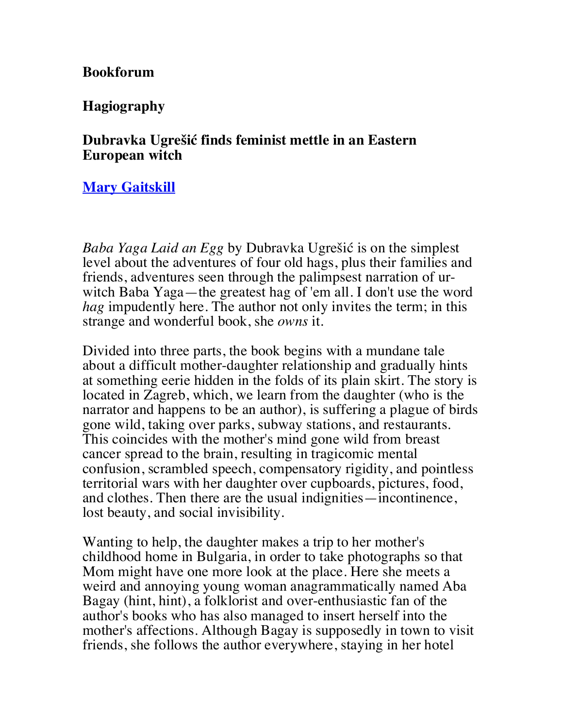**Bookforum**

**Hagiography**

## **Dubravka Ugrešić finds feminist mettle in an Eastern European witch**

## **Mary Gaitskill**

*Baba Yaga Laid an Egg* by Dubravka Ugrešić is on the simplest level about the adventures of four old hags, plus their families and friends, adventures seen through the palimpsest narration of urwitch Baba Yaga—the greatest hag of 'em all. I don't use the word *hag* impudently here. The author not only invites the term; in this strange and wonderful book, she *owns* it.

Divided into three parts, the book begins with a mundane tale about a difficult mother-daughter relationship and gradually hints at something eerie hidden in the folds of its plain skirt. The story is located in Zagreb, which, we learn from the daughter (who is the narrator and happens to be an author), is suffering a plague of birds gone wild, taking over parks, subway stations, and restaurants. This coincides with the mother's mind gone wild from breast cancer spread to the brain, resulting in tragicomic mental confusion, scrambled speech, compensatory rigidity, and pointless territorial wars with her daughter over cupboards, pictures, food, and clothes. Then there are the usual indignities—incontinence, lost beauty, and social invisibility.

Wanting to help, the daughter makes a trip to her mother's childhood home in Bulgaria, in order to take photographs so that Mom might have one more look at the place. Here she meets a weird and annoying young woman anagrammatically named Aba Bagay (hint, hint), a folklorist and over-enthusiastic fan of the author's books who has also managed to insert herself into the mother's affections. Although Bagay is supposedly in town to visit friends, she follows the author everywhere, staying in her hotel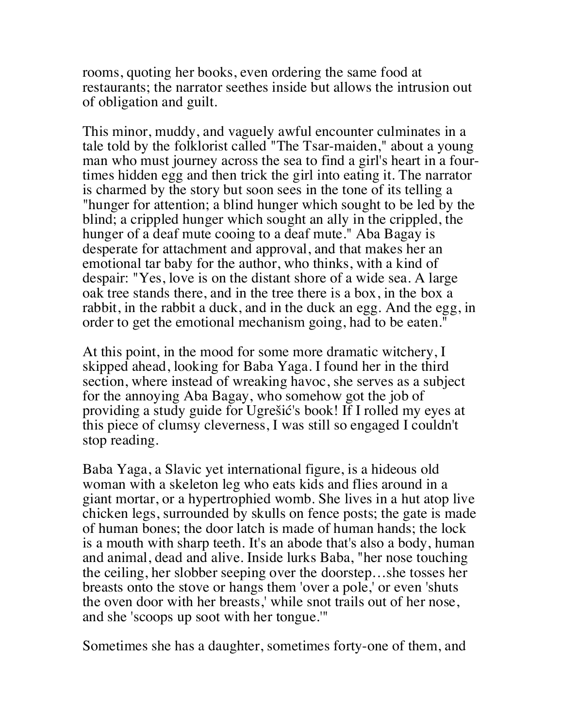rooms, quoting her books, even ordering the same food at restaurants; the narrator seethes inside but allows the intrusion out of obligation and guilt.

This minor, muddy, and vaguely awful encounter culminates in a tale told by the folklorist called "The Tsar-maiden," about a young man who must journey across the sea to find a girl's heart in a fourtimes hidden egg and then trick the girl into eating it. The narrator is charmed by the story but soon sees in the tone of its telling a "hunger for attention; a blind hunger which sought to be led by the blind; a crippled hunger which sought an ally in the crippled, the hunger of a deaf mute cooing to a deaf mute." Aba Bagay is desperate for attachment and approval, and that makes her an emotional tar baby for the author, who thinks, with a kind of despair: "Yes, love is on the distant shore of a wide sea. A large oak tree stands there, and in the tree there is a box, in the box a rabbit, in the rabbit a duck, and in the duck an egg. And the egg, in order to get the emotional mechanism going, had to be eaten."

At this point, in the mood for some more dramatic witchery, I skipped ahead, looking for Baba Yaga. I found her in the third section, where instead of wreaking havoc, she serves as a subject for the annoying Aba Bagay, who somehow got the job of providing a study guide for Ugrešić's book! If I rolled my eyes at this piece of clumsy cleverness, I was still so engaged I couldn't stop reading.

Baba Yaga, a Slavic yet international figure, is a hideous old woman with a skeleton leg who eats kids and flies around in a giant mortar, or a hypertrophied womb. She lives in a hut atop live chicken legs, surrounded by skulls on fence posts; the gate is made of human bones; the door latch is made of human hands; the lock is a mouth with sharp teeth. It's an abode that's also a body, human and animal, dead and alive. Inside lurks Baba, "her nose touching the ceiling, her slobber seeping over the doorstep…she tosses her breasts onto the stove or hangs them 'over a pole,' or even 'shuts the oven door with her breasts,' while snot trails out of her nose, and she 'scoops up soot with her tongue.'"

Sometimes she has a daughter, sometimes forty-one of them, and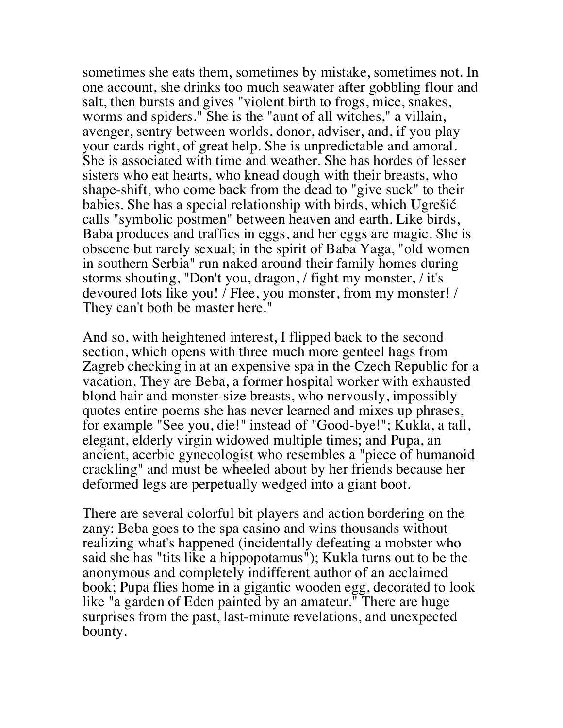sometimes she eats them, sometimes by mistake, sometimes not. In one account, she drinks too much seawater after gobbling flour and salt, then bursts and gives "violent birth to frogs, mice, snakes, worms and spiders." She is the "aunt of all witches," a villain, avenger, sentry between worlds, donor, adviser, and, if you play your cards right, of great help. She is unpredictable and amoral. She is associated with time and weather. She has hordes of lesser sisters who eat hearts, who knead dough with their breasts, who shape-shift, who come back from the dead to "give suck" to their babies. She has a special relationship with birds, which Ugrešić calls "symbolic postmen" between heaven and earth. Like birds, Baba produces and traffics in eggs, and her eggs are magic. She is obscene but rarely sexual; in the spirit of Baba Yaga, "old women in southern Serbia" run naked around their family homes during storms shouting, "Don't you, dragon, / fight my monster, / it's devoured lots like you! / Flee, you monster, from my monster! / They can't both be master here."

And so, with heightened interest, I flipped back to the second section, which opens with three much more genteel hags from Zagreb checking in at an expensive spa in the Czech Republic for a vacation. They are Beba, a former hospital worker with exhausted blond hair and monster-size breasts, who nervously, impossibly quotes entire poems she has never learned and mixes up phrases, for example "See you, die!" instead of "Good-bye!"; Kukla, a tall, elegant, elderly virgin widowed multiple times; and Pupa, an ancient, acerbic gynecologist who resembles a "piece of humanoid crackling" and must be wheeled about by her friends because her deformed legs are perpetually wedged into a giant boot.

There are several colorful bit players and action bordering on the zany: Beba goes to the spa casino and wins thousands without realizing what's happened (incidentally defeating a mobster who said she has "tits like a hippopotamus"); Kukla turns out to be the anonymous and completely indifferent author of an acclaimed book; Pupa flies home in a gigantic wooden egg, decorated to look like "a garden of Eden painted by an amateur." There are huge surprises from the past, last-minute revelations, and unexpected bounty.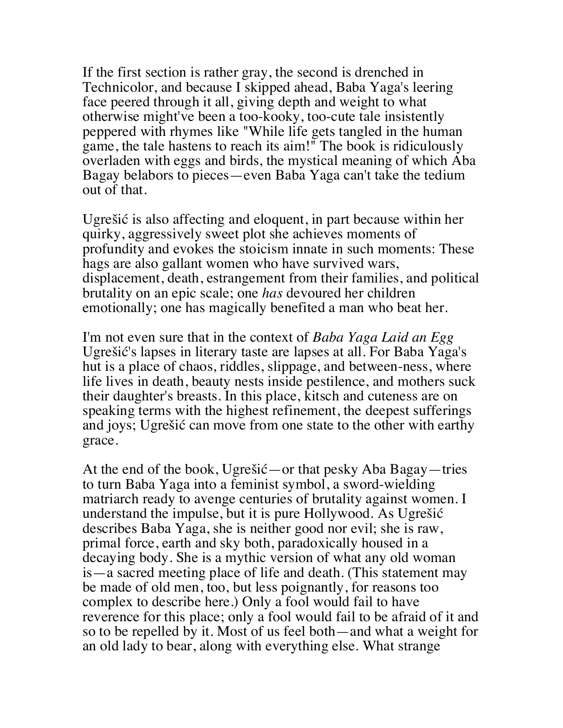If the first section is rather gray, the second is drenched in Technicolor, and because I skipped ahead, Baba Yaga's leering face peered through it all, giving depth and weight to what otherwise might've been a too-kooky, too-cute tale insistently peppered with rhymes like "While life gets tangled in the human game, the tale hastens to reach its aim!" The book is ridiculously overladen with eggs and birds, the mystical meaning of which Aba Bagay belabors to pieces—even Baba Yaga can't take the tedium out of that.

Ugrešić is also affecting and eloquent, in part because within her quirky, aggressively sweet plot she achieves moments of profundity and evokes the stoicism innate in such moments: These hags are also gallant women who have survived wars, displacement, death, estrangement from their families, and political brutality on an epic scale; one *has* devoured her children emotionally; one has magically benefited a man who beat her.

I'm not even sure that in the context of *Baba Yaga Laid an Egg* Ugrešić's lapses in literary taste are lapses at all. For Baba Yaga's hut is a place of chaos, riddles, slippage, and between-ness, where life lives in death, beauty nests inside pestilence, and mothers suck their daughter's breasts. In this place, kitsch and cuteness are on speaking terms with the highest refinement, the deepest sufferings and joys; Ugrešić can move from one state to the other with earthy grace.

At the end of the book, Ugrešić—or that pesky Aba Bagay—tries to turn Baba Yaga into a feminist symbol, a sword-wielding matriarch ready to avenge centuries of brutality against women. I understand the impulse, but it is pure Hollywood. As Ugrešić describes Baba Yaga, she is neither good nor evil; she is raw, primal force, earth and sky both, paradoxically housed in a decaying body. She is a mythic version of what any old woman is—a sacred meeting place of life and death. (This statement may be made of old men, too, but less poignantly, for reasons too complex to describe here.) Only a fool would fail to have reverence for this place; only a fool would fail to be afraid of it and so to be repelled by it. Most of us feel both—and what a weight for an old lady to bear, along with everything else. What strange